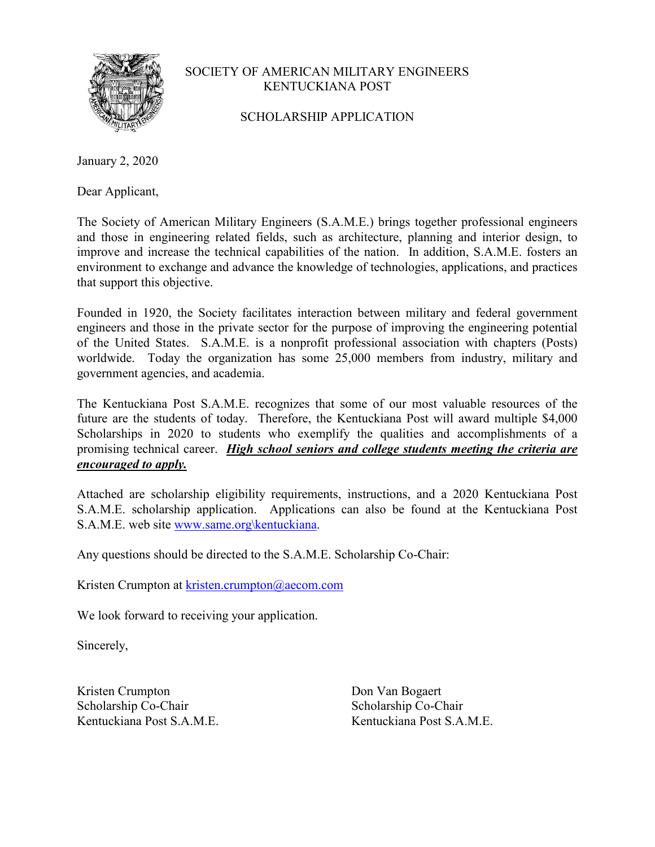

SCHOLARSHIP APPLICATION

January 2, 2020

Dear Applicant,

The Society of American Military Engineers (S.A.M.E.) brings together professional engineers and those in engineering related fields, such as architecture, planning and interior design, to improve and increase the technical capabilities of the nation. In addition, S.A.M.E. fosters an environment to exchange and advance the knowledge of technologies, applications, and practices that support this objective.

Founded in 1920, the Society facilitates interaction between military and federal government engineers and those in the private sector for the purpose of improving the engineering potential of the United States. S.A.M.E. is a nonprofit professional association with chapters (Posts) worldwide. Today the organization has some 25,000 members from industry, military and government agencies, and academia.

The Kentuckiana Post S.A.M.E. recognizes that some of our most valuable resources of the future are the students of today. Therefore, the Kentuckiana Post will award multiple \$4,000 Scholarships in 2020 to students who exemplify the qualities and accomplishments of a promising technical career. *High school seniors and college students meeting the criteria are encouraged to apply.*

Attached are scholarship eligibility requirements, instructions, and a 2020 Kentuckiana Post S.A.M.E. scholarship application. Applications can also be found at the Kentuckiana Post S.A.M.E. web site www.same.org\kentuckiana.

Any questions should be directed to the S.A.M.E. Scholarship Co-Chair:

Kristen Crumpton at kristen.crumpton@aecom.com

We look forward to receiving your application.

Sincerely,

Kristen Crumpton Don Van Bogaert Scholarship Co-Chair Scholarship Co-Chair Kentuckiana Post S.A.M.E. Kentuckiana Post S.A.M.E.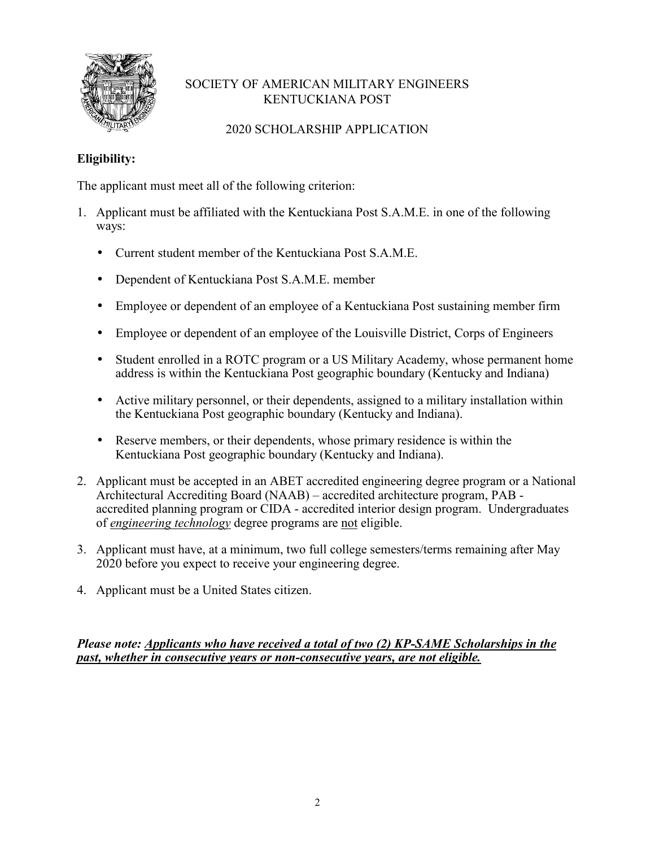

# 2020 SCHOLARSHIP APPLICATION

# **Eligibility:**

The applicant must meet all of the following criterion:

- 1. Applicant must be affiliated with the Kentuckiana Post S.A.M.E. in one of the following ways:
	- Current student member of the Kentuckiana Post S.A.M.E.
	- Dependent of Kentuckiana Post S.A.M.E. member
	- Employee or dependent of an employee of a Kentuckiana Post sustaining member firm
	- Employee or dependent of an employee of the Louisville District, Corps of Engineers
	- Student enrolled in a ROTC program or a US Military Academy, whose permanent home address is within the Kentuckiana Post geographic boundary (Kentucky and Indiana)
	- Active military personnel, or their dependents, assigned to a military installation within the Kentuckiana Post geographic boundary (Kentucky and Indiana).
	- Reserve members, or their dependents, whose primary residence is within the Kentuckiana Post geographic boundary (Kentucky and Indiana).
- 2. Applicant must be accepted in an ABET accredited engineering degree program or a National Architectural Accrediting Board (NAAB) – accredited architecture program, PAB accredited planning program or CIDA - accredited interior design program. Undergraduates of *engineering technology* degree programs are not eligible.
- 3. Applicant must have, at a minimum, two full college semesters/terms remaining after May 2020 before you expect to receive your engineering degree.
- 4. Applicant must be a United States citizen.

*Please note: Applicants who have received a total of two (2) KP-SAME Scholarships in the past, whether in consecutive years or non-consecutive years, are not eligible.*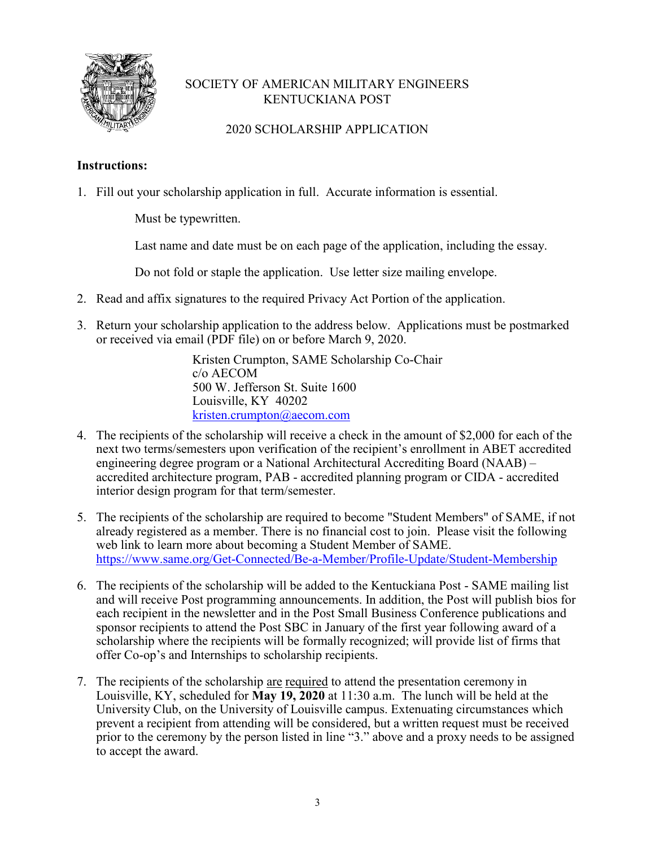

### 2020 SCHOLARSHIP APPLICATION

#### **Instructions:**

1. Fill out your scholarship application in full. Accurate information is essential.

Must be typewritten.

Last name and date must be on each page of the application, including the essay.

Do not fold or staple the application. Use letter size mailing envelope.

- 2. Read and affix signatures to the required Privacy Act Portion of the application.
- 3. Return your scholarship application to the address below. Applications must be postmarked or received via email (PDF file) on or before March 9, 2020.

 Kristen Crumpton, SAME Scholarship Co-Chair c/o AECOM 500 W. Jefferson St. Suite 1600 Louisville, KY 40202 kristen.crumpton@aecom.com

- 4. The recipients of the scholarship will receive a check in the amount of \$2,000 for each of the next two terms/semesters upon verification of the recipient's enrollment in ABET accredited engineering degree program or a National Architectural Accrediting Board (NAAB) – accredited architecture program, PAB - accredited planning program or CIDA - accredited interior design program for that term/semester.
- 5. The recipients of the scholarship are required to become "Student Members" of SAME, if not already registered as a member. There is no financial cost to join. Please visit the following web link to learn more about becoming a Student Member of SAME. https://www.same.org/Get-Connected/Be-a-Member/Profile-Update/Student-Membership
- 6. The recipients of the scholarship will be added to the Kentuckiana Post SAME mailing list and will receive Post programming announcements. In addition, the Post will publish bios for each recipient in the newsletter and in the Post Small Business Conference publications and sponsor recipients to attend the Post SBC in January of the first year following award of a scholarship where the recipients will be formally recognized; will provide list of firms that offer Co-op's and Internships to scholarship recipients.
- 7. The recipients of the scholarship are required to attend the presentation ceremony in Louisville, KY, scheduled for **May 19, 2020** at 11:30 a.m. The lunch will be held at the University Club, on the University of Louisville campus. Extenuating circumstances which prevent a recipient from attending will be considered, but a written request must be received prior to the ceremony by the person listed in line "3." above and a proxy needs to be assigned to accept the award.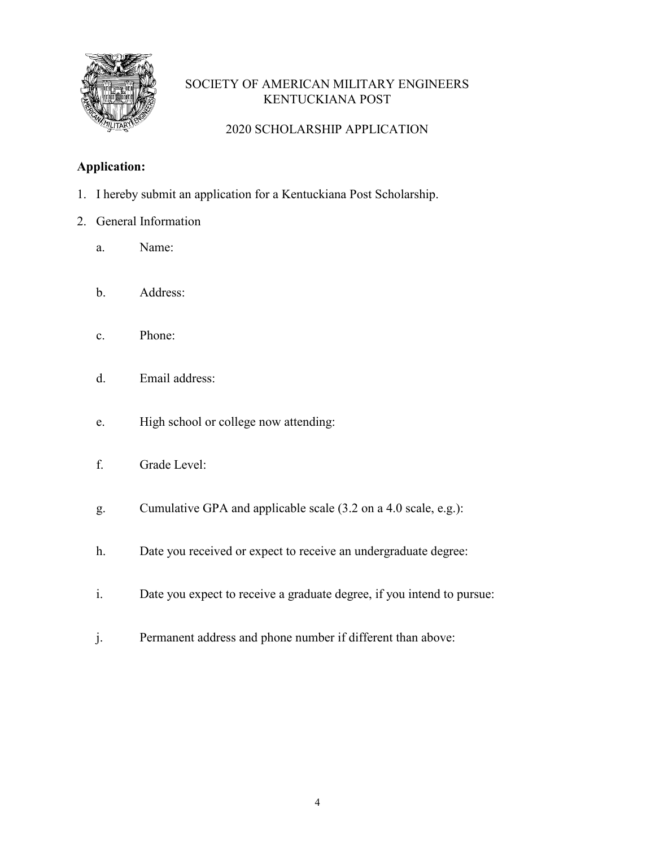

# 2020 SCHOLARSHIP APPLICATION

### **Application:**

- 1. I hereby submit an application for a Kentuckiana Post Scholarship.
- 2. General Information
	- a. Name:
	- b. Address:
	- c. Phone:
	- d. Email address:
	- e. High school or college now attending:
	- f. Grade Level:
	- g. Cumulative GPA and applicable scale (3.2 on a 4.0 scale, e.g.):
	- h. Date you received or expect to receive an undergraduate degree:
	- i. Date you expect to receive a graduate degree, if you intend to pursue:
	- j. Permanent address and phone number if different than above: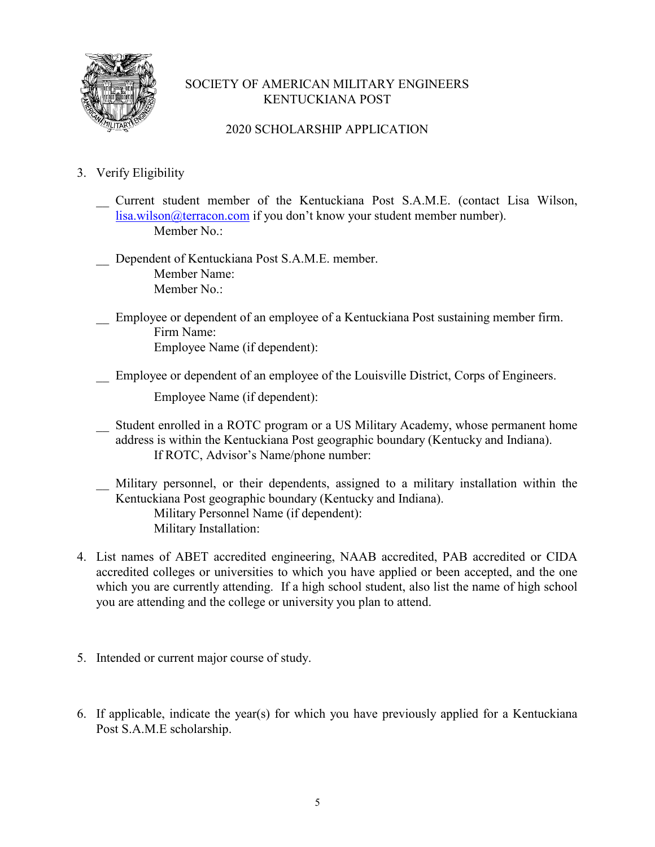

### 2020 SCHOLARSHIP APPLICATION

- 3. Verify Eligibility
	- \_\_ Current student member of the Kentuckiana Post S.A.M.E. (contact Lisa Wilson, lisa.wilson@terracon.com if you don't know your student member number). Member No.:
	- Dependent of Kentuckiana Post S.A.M.E. member. Member Name: Member No.:
	- \_\_ Employee or dependent of an employee of a Kentuckiana Post sustaining member firm. Firm Name: Employee Name (if dependent):
	- Employee or dependent of an employee of the Louisville District, Corps of Engineers.

Employee Name (if dependent):

- Student enrolled in a ROTC program or a US Military Academy, whose permanent home address is within the Kentuckiana Post geographic boundary (Kentucky and Indiana). If ROTC, Advisor's Name/phone number:
- \_\_ Military personnel, or their dependents, assigned to a military installation within the Kentuckiana Post geographic boundary (Kentucky and Indiana). Military Personnel Name (if dependent): Military Installation:
- 4. List names of ABET accredited engineering, NAAB accredited, PAB accredited or CIDA accredited colleges or universities to which you have applied or been accepted, and the one which you are currently attending. If a high school student, also list the name of high school you are attending and the college or university you plan to attend.
- 5. Intended or current major course of study.
- 6. If applicable, indicate the year(s) for which you have previously applied for a Kentuckiana Post S.A.M.E scholarship.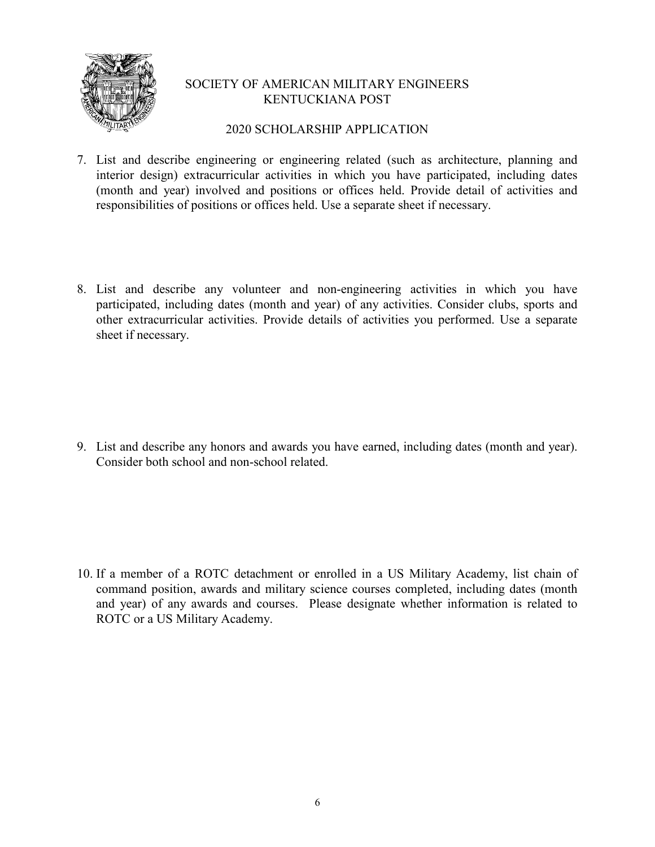

#### 2020 SCHOLARSHIP APPLICATION

- 7. List and describe engineering or engineering related (such as architecture, planning and interior design) extracurricular activities in which you have participated, including dates (month and year) involved and positions or offices held. Provide detail of activities and responsibilities of positions or offices held. Use a separate sheet if necessary.
- 8. List and describe any volunteer and non-engineering activities in which you have participated, including dates (month and year) of any activities. Consider clubs, sports and other extracurricular activities. Provide details of activities you performed. Use a separate sheet if necessary.

9. List and describe any honors and awards you have earned, including dates (month and year). Consider both school and non-school related.

10. If a member of a ROTC detachment or enrolled in a US Military Academy, list chain of command position, awards and military science courses completed, including dates (month and year) of any awards and courses. Please designate whether information is related to ROTC or a US Military Academy.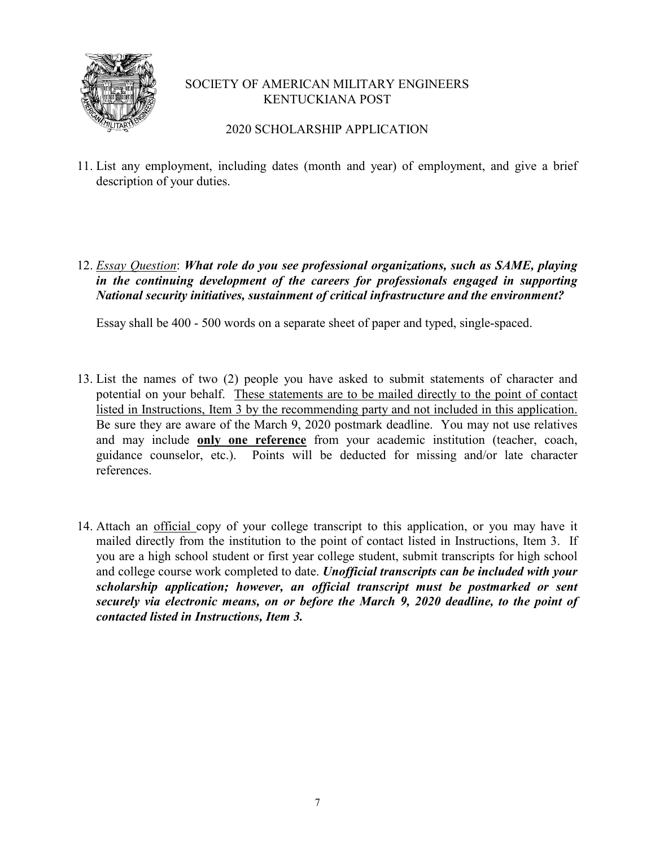

2020 SCHOLARSHIP APPLICATION

- 11. List any employment, including dates (month and year) of employment, and give a brief description of your duties.
- 12. *Essay Question*: *What role do you see professional organizations, such as SAME, playing in the continuing development of the careers for professionals engaged in supporting National security initiatives, sustainment of critical infrastructure and the environment?*

Essay shall be 400 - 500 words on a separate sheet of paper and typed, single-spaced.

- 13. List the names of two (2) people you have asked to submit statements of character and potential on your behalf. These statements are to be mailed directly to the point of contact listed in Instructions, Item 3 by the recommending party and not included in this application. Be sure they are aware of the March 9, 2020 postmark deadline. You may not use relatives and may include **only one reference** from your academic institution (teacher, coach, guidance counselor, etc.). Points will be deducted for missing and/or late character references.
- 14. Attach an official copy of your college transcript to this application, or you may have it mailed directly from the institution to the point of contact listed in Instructions, Item 3. If you are a high school student or first year college student, submit transcripts for high school and college course work completed to date. *Unofficial transcripts can be included with your scholarship application; however, an official transcript must be postmarked or sent securely via electronic means, on or before the March 9, 2020 deadline, to the point of contacted listed in Instructions, Item 3.*